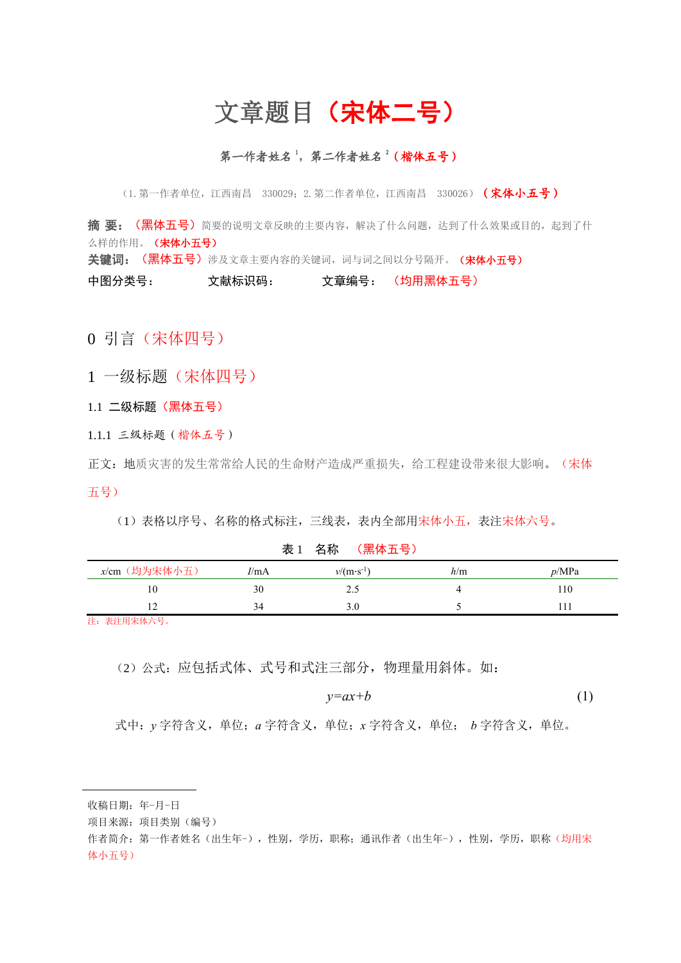# 文章题目(宋体二号)

#### 第一作者姓名 2(楷体五号)

(1. 第一作者单位,江西南昌 330029: 2. 第二作者单位,江西南昌 330026) (宋体小五号)

**摘 要: (黑体五号)**简要的说明文章反映的主要内容,解决了什么问题,达到了什么效果或目的,起到了什 么样的作用。(宋体小五号) 关键词: (黑体五号)涉及文章主要内容的关键词,词与词之间以分号隔开。(宋体小五号) 中图分类号: 文献标识码: 文章编号: (均用黑体五号)

0 引言(宋体四号)

1 一级标题(宋体四号)

1.1 二级标题(黑体五号)

1.1.1 三级标题(楷体五号)

正文:地质灾害的发生常常给人民的生命财产造成严重损失,给工程建设带来很大影响。(宋体 五号)

(1)表格以序号、名称的格式标注,三线表,表内全部用宋体小五,表注宋体六号。

#### 表 1 名称 (黑体五号)

| x/cm (均为宋体小五)                                                                                                  | I/mA | $v/(m \cdot s^{-1})$ | h/m | p/MPa |
|----------------------------------------------------------------------------------------------------------------|------|----------------------|-----|-------|
| 10                                                                                                             | 30   | ر. پ                 |     | 10    |
| . .                                                                                                            |      |                      |     |       |
| the company's second control of the company of the company of the company of the company of the company of the |      |                      |     |       |

注:表注用宋体六号。

(2)公式:应包括式体、式号和式注三部分,物理量用斜体。如:

$$
y = ax + b \tag{1}
$$

式中:*y* 字符含义,单位;*a* 字符含义,单位;*x* 字符含义,单位; *b* 字符含义,单位。

收稿日期:年-月-日

项目来源:项目类别(编号)

作者简介: 第一作者姓名(出生年-), 性别, 学历, 职称; 通讯作者(出生年-), 性别, 学历, 职称(均用宋 体小五号)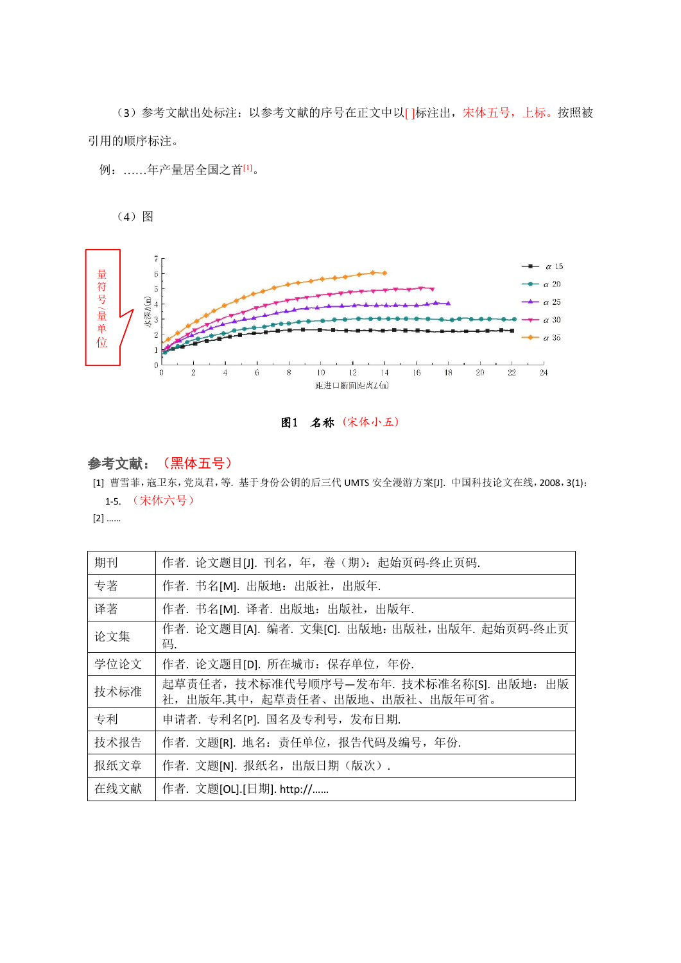(3)参考文献出处标注:以参考文献的序号在正文中以[ ]标注出,宋体五号,上标。按照被 引用的顺序标注。

例:……年产量居全国之首[1]。

(4)图



#### 图1 名称 (宋体小五)

### 参考文献:(黑体五号)

[1] 曹雪菲,寇卫东,党岚君,等. 基于身份公钥的后三代 UMTS 安全漫游方案[J]. 中国科技论文在线,2008,3(1): 1-5. (宋体六号)

[2] ……

| 期刊   | 作者. 论文题目[J]. 刊名, 年, 卷 (期): 起始页码-终止页码.                                       |
|------|-----------------------------------------------------------------------------|
| 专著   | 作者. 书名[M]. 出版地: 出版社, 出版年.                                                   |
| 译著   | 作者. 书名[M]. 译者. 出版地: 出版社,出版年.                                                |
| 论文集  | 作者. 论文题目[A]. 编者. 文集[C]. 出版地: 出版社, 出版年. 起始页码-终止页<br>妈.                       |
| 学位论文 | 作者. 论文题目[D]. 所在城市: 保存单位, 年份.                                                |
| 技术标准 | 起草责任者, 技术标准代号顺序号-发布年. 技术标准名称[S]. 出版地: 出版<br>社, 出版年.其中, 起草责任者、出版地、出版社、出版年可省。 |
| 专利   | 申请者. 专利名[P]. 国名及专利号,发布日期.                                                   |
| 技术报告 | 作者. 文题[R]. 地名: 责任单位, 报告代码及编号, 年份.                                           |
| 报纸文章 | 作者. 文题[N]. 报纸名,出版日期(版次).                                                    |
| 在线文献 | 作者. 文题[OL].[日期]. http://                                                    |